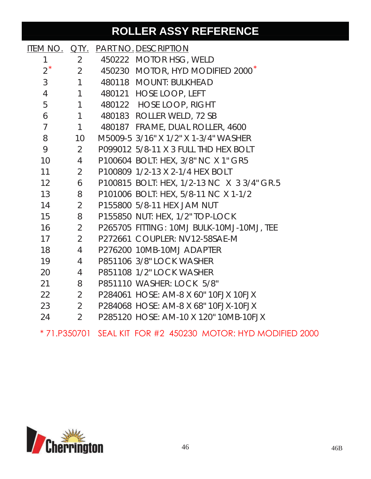## **ROLLER ASSY REFERENCE**

|                 |                                | <u>ITEM NO. QTY. PART NO. DESCRIPTION</u>    |  |
|-----------------|--------------------------------|----------------------------------------------|--|
| 1               | $\overline{2}$                 | 450222 MOTOR HSG, WELD                       |  |
| $2^*$           | $2 \overline{2}$               | 450230 MOTOR, HYD MODIFIED 2000 <sup>*</sup> |  |
| 3               | $\mathbf{1}$                   | 480118 MOUNT: BULKHEAD                       |  |
| $\overline{4}$  | $1 \quad$                      | 480121 HOSE LOOP, LEFT                       |  |
| 5               | $\mathbf{1}$                   | 480122 HOSE LOOP, RIGHT                      |  |
| 6               | $\mathbf{1}$                   | 480183 ROLLER WELD, 72 SB                    |  |
| $\overline{7}$  | $1 \quad \blacksquare$         | 480187 FRAME, DUAL ROLLER, 4600              |  |
| 8               | 10                             | M5009-5 3/16" X 1/2" X 1-3/4" WASHER         |  |
| 9               | $2 \overline{ }$               | P099012 5/8-11 X 3 FULL THD HEX BOLT         |  |
| 10 <sup>°</sup> | $\overline{4}$                 | P100604 BOLT: HEX, 3/8" NC X 1" GR5          |  |
| 11              | $2 \overline{2}$               | P100809 1/2-13 X 2-1/4 HEX BOLT              |  |
| 12 <sup>°</sup> | 6                              | P100815 BOLT: HEX, 1/2-13 NC X 3 3/4" GR.5   |  |
| 13              | 8                              | P101006 BOLT: HEX, 5/8-11 NC X 1-1/2         |  |
| 14              | $2^{\circ}$                    | P155800 5/8-11 HEX JAM NUT                   |  |
| 15              | 8                              | P155850 NUT: HEX, 1/2" TOP-LOCK              |  |
| 16              | $2 \left( \frac{1}{2} \right)$ | P265705 FITTING: 10MJ BULK-10MJ-10MJ, TEE    |  |
| 17              | $2 \overline{ }$               | P272661 COUPLER: NV12-58SAE-M                |  |
| 18              | $4\overline{ }$                | P276200 10MB-10MJ ADAPTER                    |  |
| 19              | $4 \quad$                      | P851106 3/8" LOCK WASHER                     |  |
| 20              | $4\overline{ }$                | P851108 1/2" LOCK WASHER                     |  |
| 21              | 8                              | P851110 WASHER: LOCK 5/8"                    |  |
| 22              | $2 \quad$                      | P284061 HOSE: AM-8 X 60" 10FJX 10FJX         |  |
| 23              | $2 \overline{ }$               | P284068 HOSE: AM-8 X 68" 10FJX-10FJX         |  |
| 24              | $\overline{2}$                 | P285120 HOSE: AM-10 X 120" 10MB-10FJX        |  |
|                 |                                |                                              |  |

\* 71.P350701 SEAL KIT FOR #2 450230 MOTOR: HYD MODIFIED 2000